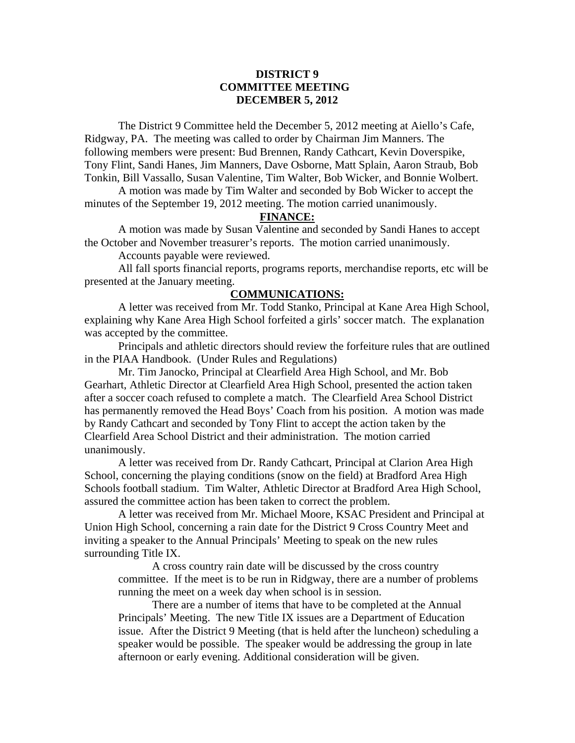## **DISTRICT 9 COMMITTEE MEETING DECEMBER 5, 2012**

 The District 9 Committee held the December 5, 2012 meeting at Aiello's Cafe, Ridgway, PA. The meeting was called to order by Chairman Jim Manners. The following members were present: Bud Brennen, Randy Cathcart, Kevin Doverspike, Tony Flint, Sandi Hanes, Jim Manners, Dave Osborne, Matt Splain, Aaron Straub, Bob Tonkin, Bill Vassallo, Susan Valentine, Tim Walter, Bob Wicker, and Bonnie Wolbert.

 A motion was made by Tim Walter and seconded by Bob Wicker to accept the minutes of the September 19, 2012 meeting. The motion carried unanimously.

# **FINANCE:**

A motion was made by Susan Valentine and seconded by Sandi Hanes to accept the October and November treasurer's reports. The motion carried unanimously.

Accounts payable were reviewed.

 All fall sports financial reports, programs reports, merchandise reports, etc will be presented at the January meeting.

### **COMMUNICATIONS:**

 A letter was received from Mr. Todd Stanko, Principal at Kane Area High School, explaining why Kane Area High School forfeited a girls' soccer match. The explanation was accepted by the committee.

 Principals and athletic directors should review the forfeiture rules that are outlined in the PIAA Handbook. (Under Rules and Regulations)

 Mr. Tim Janocko, Principal at Clearfield Area High School, and Mr. Bob Gearhart, Athletic Director at Clearfield Area High School, presented the action taken after a soccer coach refused to complete a match. The Clearfield Area School District has permanently removed the Head Boys' Coach from his position. A motion was made by Randy Cathcart and seconded by Tony Flint to accept the action taken by the Clearfield Area School District and their administration. The motion carried unanimously.

 A letter was received from Dr. Randy Cathcart, Principal at Clarion Area High School, concerning the playing conditions (snow on the field) at Bradford Area High Schools football stadium. Tim Walter, Athletic Director at Bradford Area High School, assured the committee action has been taken to correct the problem.

 A letter was received from Mr. Michael Moore, KSAC President and Principal at Union High School, concerning a rain date for the District 9 Cross Country Meet and inviting a speaker to the Annual Principals' Meeting to speak on the new rules surrounding Title IX.

 A cross country rain date will be discussed by the cross country committee. If the meet is to be run in Ridgway, there are a number of problems running the meet on a week day when school is in session.

There are a number of items that have to be completed at the Annual Principals' Meeting. The new Title IX issues are a Department of Education issue. After the District 9 Meeting (that is held after the luncheon) scheduling a speaker would be possible. The speaker would be addressing the group in late afternoon or early evening. Additional consideration will be given.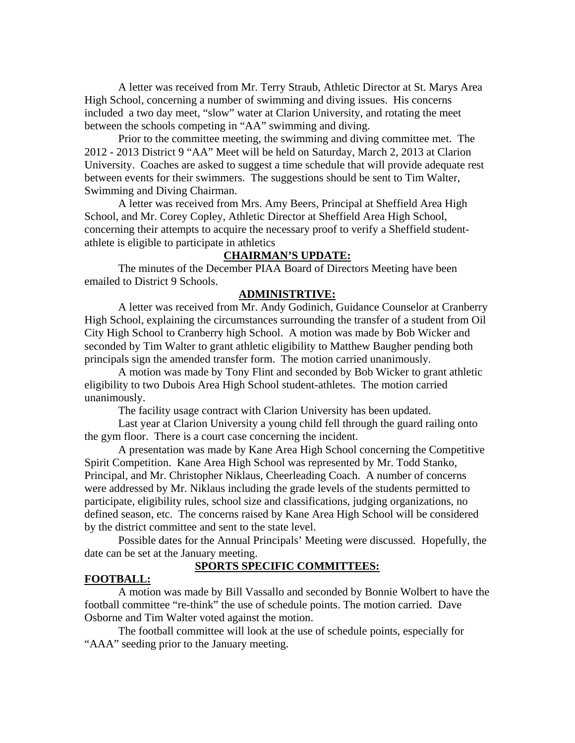A letter was received from Mr. Terry Straub, Athletic Director at St. Marys Area High School, concerning a number of swimming and diving issues. His concerns included a two day meet, "slow" water at Clarion University, and rotating the meet between the schools competing in "AA" swimming and diving.

 Prior to the committee meeting, the swimming and diving committee met. The 2012 - 2013 District 9 "AA" Meet will be held on Saturday, March 2, 2013 at Clarion University. Coaches are asked to suggest a time schedule that will provide adequate rest between events for their swimmers. The suggestions should be sent to Tim Walter, Swimming and Diving Chairman.

 A letter was received from Mrs. Amy Beers, Principal at Sheffield Area High School, and Mr. Corey Copley, Athletic Director at Sheffield Area High School, concerning their attempts to acquire the necessary proof to verify a Sheffield studentathlete is eligible to participate in athletics

## **CHAIRMAN'S UPDATE:**

 The minutes of the December PIAA Board of Directors Meeting have been emailed to District 9 Schools.

#### **ADMINISTRTIVE:**

 A letter was received from Mr. Andy Godinich, Guidance Counselor at Cranberry High School, explaining the circumstances surrounding the transfer of a student from Oil City High School to Cranberry high School. A motion was made by Bob Wicker and seconded by Tim Walter to grant athletic eligibility to Matthew Baugher pending both principals sign the amended transfer form. The motion carried unanimously.

 A motion was made by Tony Flint and seconded by Bob Wicker to grant athletic eligibility to two Dubois Area High School student-athletes. The motion carried unanimously.

The facility usage contract with Clarion University has been updated.

Last year at Clarion University a young child fell through the guard railing onto the gym floor. There is a court case concerning the incident.

 A presentation was made by Kane Area High School concerning the Competitive Spirit Competition. Kane Area High School was represented by Mr. Todd Stanko, Principal, and Mr. Christopher Niklaus, Cheerleading Coach. A number of concerns were addressed by Mr. Niklaus including the grade levels of the students permitted to participate, eligibility rules, school size and classifications, judging organizations, no defined season, etc. The concerns raised by Kane Area High School will be considered by the district committee and sent to the state level.

 Possible dates for the Annual Principals' Meeting were discussed. Hopefully, the date can be set at the January meeting.

### **SPORTS SPECIFIC COMMITTEES:**

#### **FOOTBALL:**

 A motion was made by Bill Vassallo and seconded by Bonnie Wolbert to have the football committee "re-think" the use of schedule points. The motion carried. Dave Osborne and Tim Walter voted against the motion.

 The football committee will look at the use of schedule points, especially for "AAA" seeding prior to the January meeting.